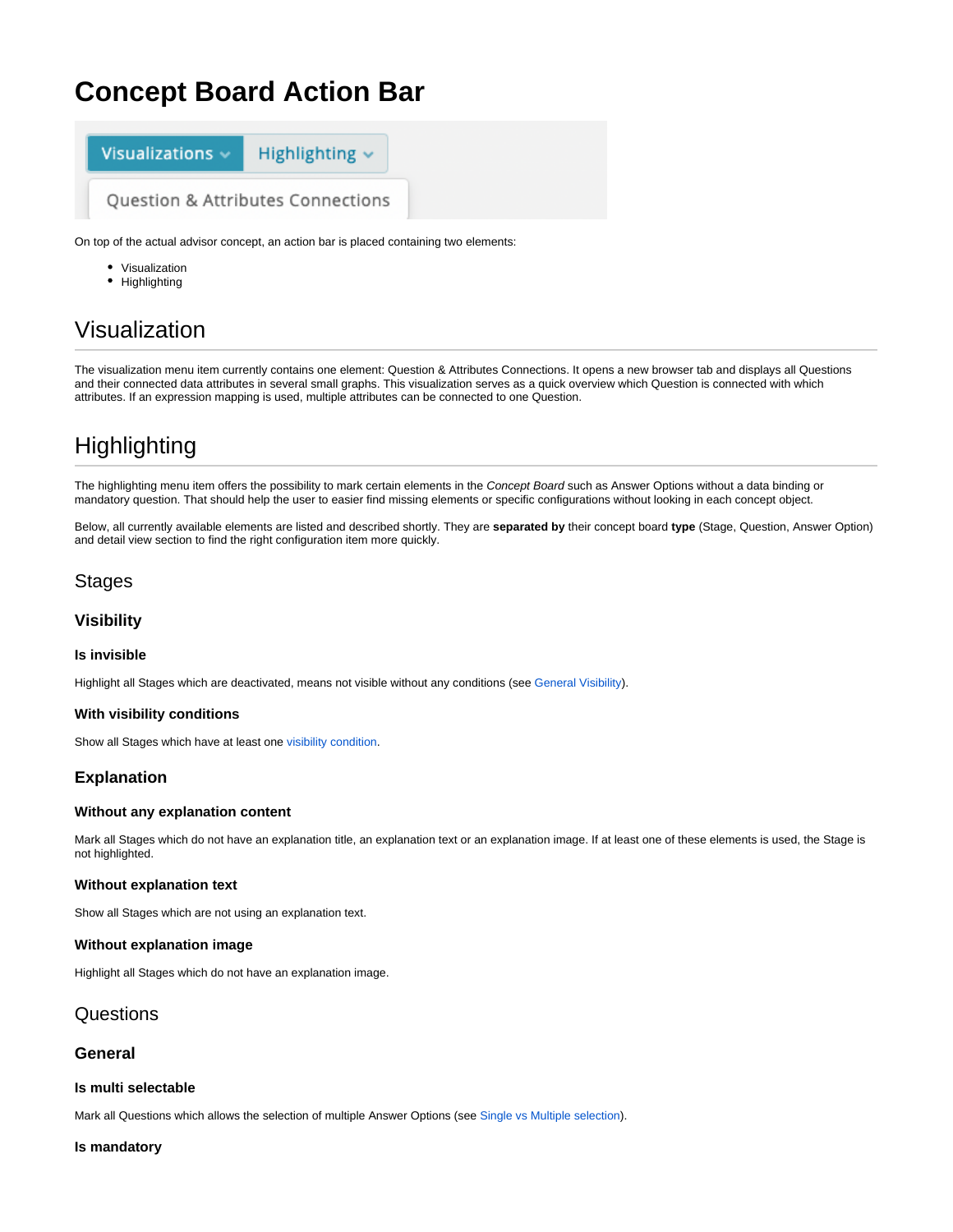# **Concept Board Action Bar**



On top of the actual advisor concept, an action bar is placed containing two elements:

- Visualization
- Highlighting

# Visualization

The visualization menu item currently contains one element: Question & Attributes Connections. It opens a new browser tab and displays all Questions and their connected data attributes in several small graphs. This visualization serves as a quick overview which Question is connected with which attributes. If an expression mapping is used, multiple attributes can be connected to one Question.

# **Highlighting**

The highlighting menu item offers the possibility to mark certain elements in the Concept Board such as Answer Options without a data binding or mandatory question. That should help the user to easier find missing elements or specific configurations without looking in each concept object.

Below, all currently available elements are listed and described shortly. They are **separated by** their concept board **type** (Stage, Question, Answer Option) and detail view section to find the right configuration item more quickly.

# Stages

# **Visibility**

#### **Is invisible**

Highlight all Stages which are deactivated, means not visible without any conditions (see [General Visibility](https://documentation.excentos.com/display/WORKBENCH/Set+the+Visibility#SettheVisibility-GeneralVisibilityGeneralVisibility)).

#### **With visibility conditions**

Show all Stages which have at least one [visibility condition](https://documentation.excentos.com/display/WORKBENCH/Set+the+Visibility#SettheVisibility-ConditionalVisibilityConditionalVisibility).

# **Explanation**

#### **Without any explanation content**

Mark all Stages which do not have an explanation title, an explanation text or an explanation image. If at least one of these elements is used, the Stage is not highlighted.

#### **Without explanation text**

Show all Stages which are not using an explanation text.

#### **Without explanation image**

Highlight all Stages which do not have an explanation image.

# Questions

## **General**

#### **Is multi selectable**

Mark all Questions which allows the selection of multiple Answer Options (see [Single vs Multiple selection\)](https://documentation.excentos.com/display/WORKBENCH/Question#Question-SingleVsMultipleAnswers%22OneAnswer%22Versus%22SeveralAnswers%22).

#### **Is mandatory**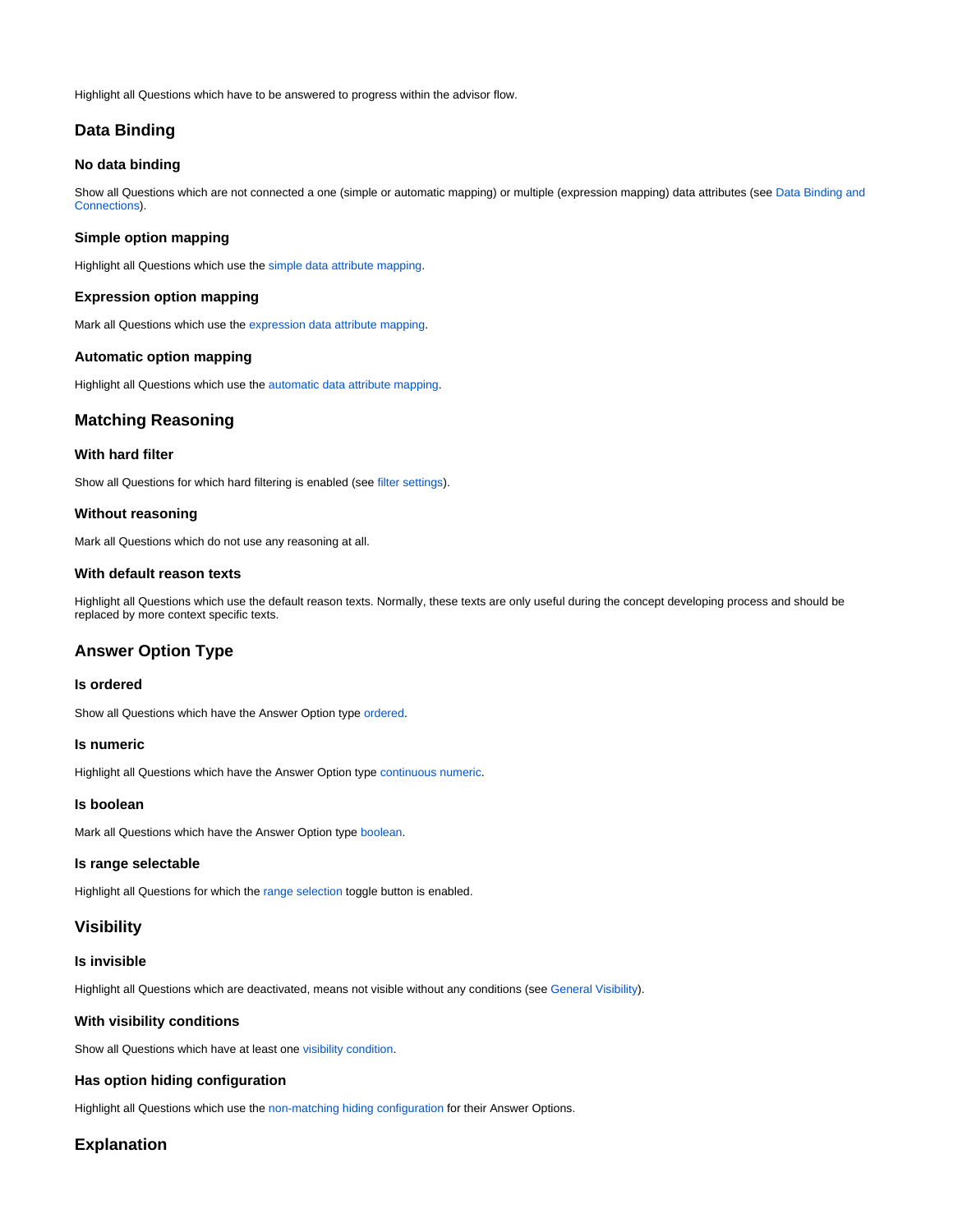Highlight all Questions which have to be answered to progress within the advisor flow.

# **Data Binding**

#### **No data binding**

Show all Questions which are not connected a one (simple or automatic mapping) or multiple (expression mapping) data attributes (see Data Binding and [Connections\)](https://documentation.excentos.com/display/WORKBENCH/Data+Binding+and+Connections).

#### **Simple option mapping**

Highlight all Questions which use the [simple data attribute mapping](https://documentation.excentos.com/display/WORKBENCH/Simple+Mapping).

#### **Expression option mapping**

Mark all Questions which use the [expression data attribute mapping](https://documentation.excentos.com/display/WORKBENCH/Expression+Mapping).

#### **Automatic option mapping**

Highlight all Questions which use the [automatic data attribute mapping.](https://documentation.excentos.com/display/WORKBENCH/Automatic+Mapping)

# **Matching Reasoning**

# **With hard filter**

Show all Questions for which hard filtering is enabled (see [filter settings\)](https://documentation.excentos.com/display/WORKBENCH/Matching#Matching-FilterSettingsFilterMode).

#### **Without reasoning**

Mark all Questions which do not use any reasoning at all.

#### **With default reason texts**

Highlight all Questions which use the default reason texts. Normally, these texts are only useful during the concept developing process and should be replaced by more context specific texts.

# **Answer Option Type**

#### **Is ordered**

Show all Questions which have the Answer Option type [ordered.](https://documentation.excentos.com/display/WORKBENCH/Ordered)

#### **Is numeric**

Highlight all Questions which have the Answer Option type [continuous numeric](https://documentation.excentos.com/display/WORKBENCH/Continuous+Numeric).

#### **Is boolean**

Mark all Questions which have the Answer Option type [boolean.](https://documentation.excentos.com/display/WORKBENCH/Boolean+Question)

#### **Is range selectable**

Highlight all Questions for which the [range selection](https://documentation.excentos.com/display/WORKBENCH/Answer+Option+Type#AnswerOptionType-RangeSelectableRangeSelectable) toggle button is enabled.

#### **Visibility**

#### **Is invisible**

Highlight all Questions which are deactivated, means not visible without any conditions (see [General Visibility\)](https://documentation.excentos.com/display/WORKBENCH/Set+the+Visibility#SettheVisibility-GeneralVisibilityGeneralVisibility).

#### **With visibility conditions**

Show all Questions which have at least one [visibility condition.](https://documentation.excentos.com/display/WORKBENCH/Set+the+Visibility#SettheVisibility-ConditionalVisibilityConditionalVisibility)

#### **Has option hiding configuration**

Highlight all Questions which use the [non-matching hiding configuration](https://documentation.excentos.com/display/WORKBENCH/Hide+non-matching+Answers) for their Answer Options.

#### **Explanation**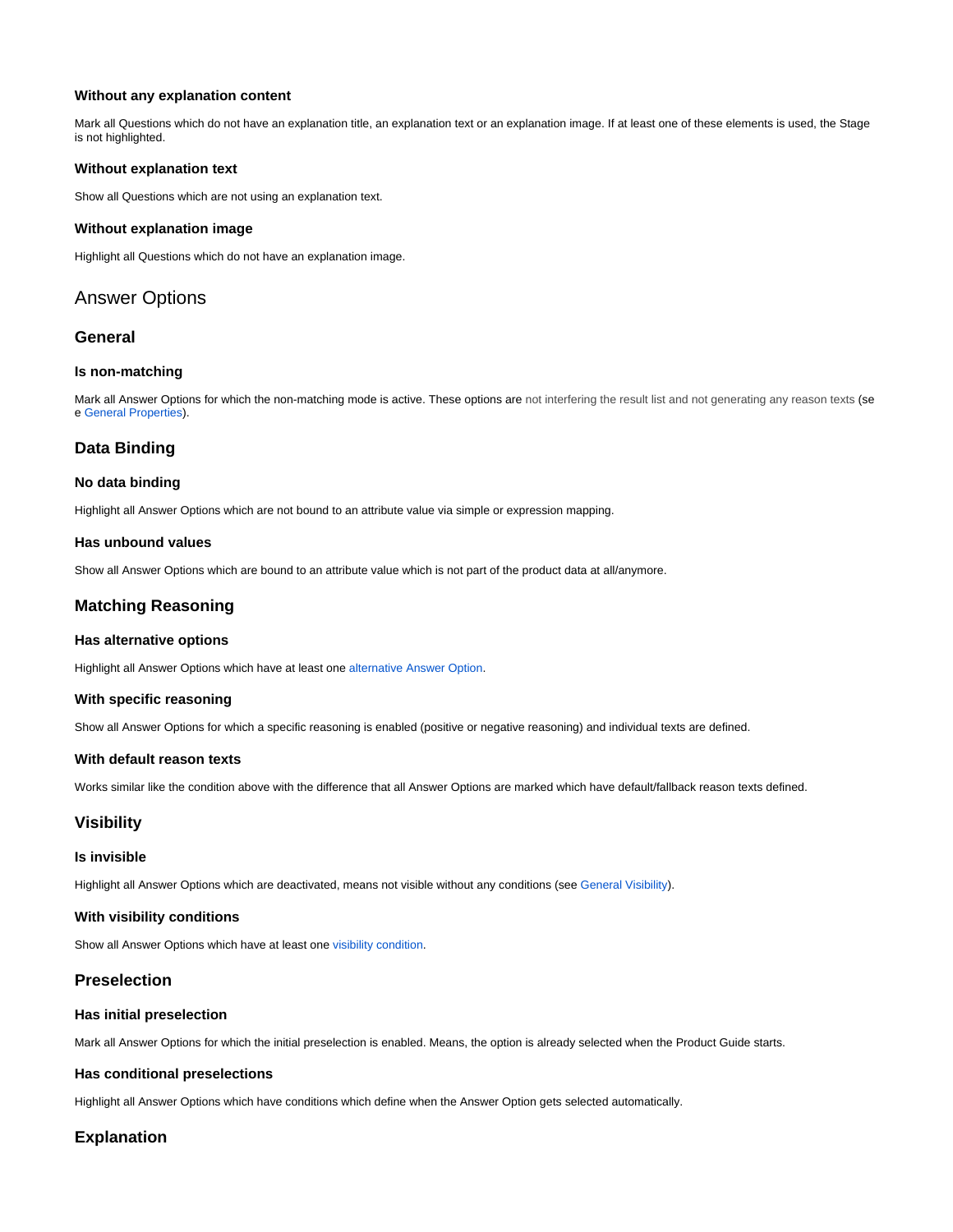#### **Without any explanation content**

Mark all Questions which do not have an explanation title, an explanation text or an explanation image. If at least one of these elements is used, the Stage is not highlighted.

#### **Without explanation text**

Show all Questions which are not using an explanation text.

#### **Without explanation image**

Highlight all Questions which do not have an explanation image.

# Answer Options

## **General**

#### **Is non-matching**

Mark all Answer Options for which the non-matching mode is active. These options are not interfering the result list and not generating any reason texts (se e [General Properties](https://documentation.excentos.com/display/WORKBENCH/Answer+Option)).

# **Data Binding**

#### **No data binding**

Highlight all Answer Options which are not bound to an attribute value via simple or expression mapping.

#### **Has unbound values**

Show all Answer Options which are bound to an attribute value which is not part of the product data at all/anymore.

# **Matching Reasoning**

#### **Has alternative options**

Highlight all Answer Options which have at least one [alternative Answer Option](https://documentation.excentos.com/display/WORKBENCH/Matching#Matching-AlternativeAnswerOptionsUsecaseAlternativeAnswerOptions).

#### **With specific reasoning**

Show all Answer Options for which a specific reasoning is enabled (positive or negative reasoning) and individual texts are defined.

#### **With default reason texts**

Works similar like the condition above with the difference that all Answer Options are marked which have default/fallback reason texts defined.

## **Visibility**

#### **Is invisible**

Highlight all Answer Options which are deactivated, means not visible without any conditions (see [General Visibility](https://documentation.excentos.com/display/WORKBENCH/Set+the+Visibility#SettheVisibility-GeneralVisibilityGeneralVisibility)).

#### **With visibility conditions**

Show all Answer Options which have at least one [visibility condition.](https://documentation.excentos.com/display/WORKBENCH/Set+the+Visibility#SettheVisibility-ConditionalVisibilityConditionalVisibility)

## **Preselection**

#### **Has initial preselection**

Mark all Answer Options for which the initial preselection is enabled. Means, the option is already selected when the Product Guide starts.

#### **Has conditional preselections**

Highlight all Answer Options which have conditions which define when the Answer Option gets selected automatically.

## **Explanation**